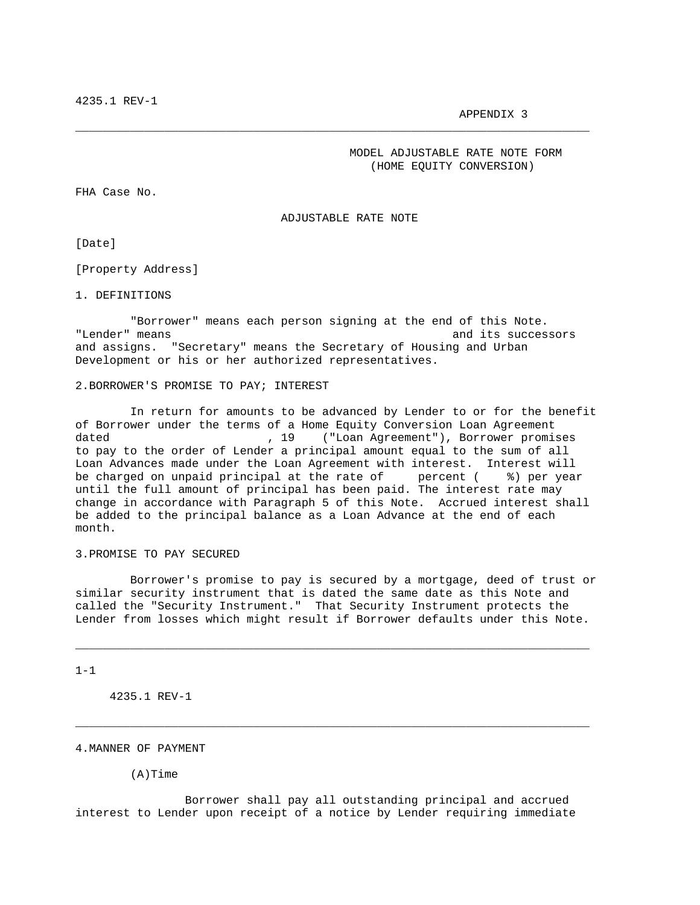APPENDIX 3

 MODEL ADJUSTABLE RATE NOTE FORM (HOME EQUITY CONVERSION)

FHA Case No.

ADJUSTABLE RATE NOTE

\_\_\_\_\_\_\_\_\_\_\_\_\_\_\_\_\_\_\_\_\_\_\_\_\_\_\_\_\_\_\_\_\_\_\_\_\_\_\_\_\_\_\_\_\_\_\_\_\_\_\_\_\_\_\_\_\_\_\_\_\_\_\_\_\_\_\_\_\_\_\_\_\_\_\_

[Date]

[Property Address]

1. DEFINITIONS

 "Borrower" means each person signing at the end of this Note. "Lender" means and its successors and assigns. "Secretary" means the Secretary of Housing and Urban Development or his or her authorized representatives.

#### 2.BORROWER'S PROMISE TO PAY; INTEREST

 In return for amounts to be advanced by Lender to or for the benefit of Borrower under the terms of a Home Equity Conversion Loan Agreement dated  $\begin{array}{ccc} 19 & (\text{``Loan Agreement''}), & \text{Borrower promises} \end{array}$ to pay to the order of Lender a principal amount equal to the sum of all Loan Advances made under the Loan Agreement with interest. Interest will<br>be charged on unpaid principal at the rate of percent (  $\frac{2}{3}$ ) per year be charged on unpaid principal at the rate of until the full amount of principal has been paid. The interest rate may change in accordance with Paragraph 5 of this Note. Accrued interest shall be added to the principal balance as a Loan Advance at the end of each month.

## 3.PROMISE TO PAY SECURED

 Borrower's promise to pay is secured by a mortgage, deed of trust or similar security instrument that is dated the same date as this Note and called the "Security Instrument." That Security Instrument protects the Lender from losses which might result if Borrower defaults under this Note.

\_\_\_\_\_\_\_\_\_\_\_\_\_\_\_\_\_\_\_\_\_\_\_\_\_\_\_\_\_\_\_\_\_\_\_\_\_\_\_\_\_\_\_\_\_\_\_\_\_\_\_\_\_\_\_\_\_\_\_\_\_\_\_\_\_\_\_\_\_\_\_\_\_\_\_

\_\_\_\_\_\_\_\_\_\_\_\_\_\_\_\_\_\_\_\_\_\_\_\_\_\_\_\_\_\_\_\_\_\_\_\_\_\_\_\_\_\_\_\_\_\_\_\_\_\_\_\_\_\_\_\_\_\_\_\_\_\_\_\_\_\_\_\_\_\_\_\_\_\_\_

 $1 - 1$ 

4235.1 REV-1

## 4.MANNER OF PAYMENT

(A)Time

 Borrower shall pay all outstanding principal and accrued interest to Lender upon receipt of a notice by Lender requiring immediate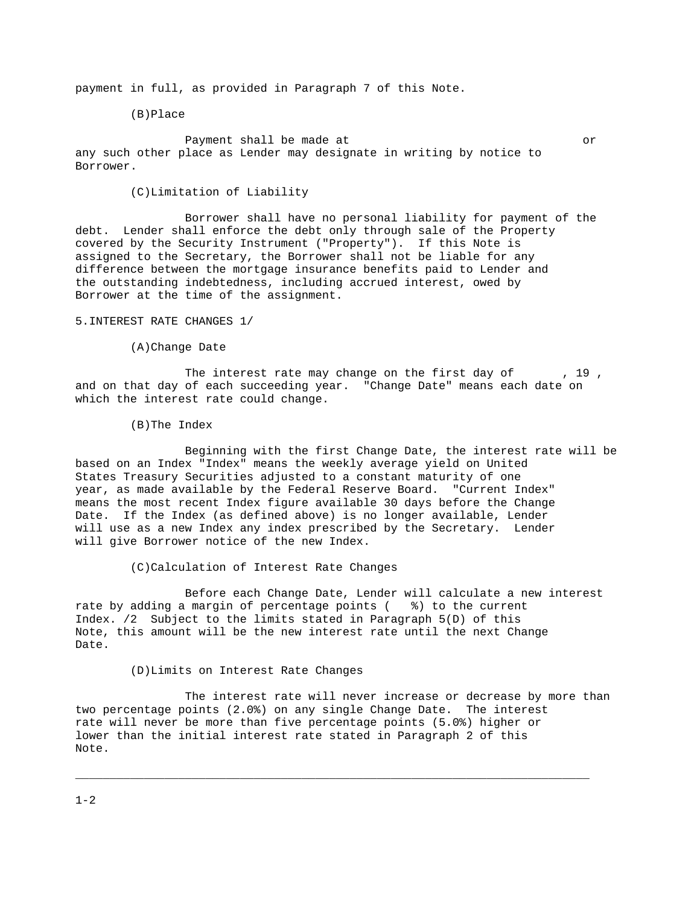payment in full, as provided in Paragraph 7 of this Note.

(B)Place

Payment shall be made at  $\overline{or}$ any such other place as Lender may designate in writing by notice to Borrower.

(C)Limitation of Liability

 Borrower shall have no personal liability for payment of the debt. Lender shall enforce the debt only through sale of the Property covered by the Security Instrument ("Property"). If this Note is assigned to the Secretary, the Borrower shall not be liable for any difference between the mortgage insurance benefits paid to Lender and the outstanding indebtedness, including accrued interest, owed by Borrower at the time of the assignment.

5.INTEREST RATE CHANGES 1/

(A)Change Date

The interest rate may change on the first day of  $\hspace{1cm}$ , 19, and on that day of each succeeding year. "Change Date" means each date on which the interest rate could change.

(B)The Index

 Beginning with the first Change Date, the interest rate will be based on an Index "Index" means the weekly average yield on United States Treasury Securities adjusted to a constant maturity of one year, as made available by the Federal Reserve Board. "Current Index" means the most recent Index figure available 30 days before the Change Date. If the Index (as defined above) is no longer available, Lender will use as a new Index any index prescribed by the Secretary. Lender will give Borrower notice of the new Index.

(C)Calculation of Interest Rate Changes

 Before each Change Date, Lender will calculate a new interest rate by adding a margin of percentage points ( %) to the current Index. /2 Subject to the limits stated in Paragraph 5(D) of this Note, this amount will be the new interest rate until the next Change Date.

(D)Limits on Interest Rate Changes

 The interest rate will never increase or decrease by more than two percentage points (2.0%) on any single Change Date. The interest rate will never be more than five percentage points (5.0%) higher or lower than the initial interest rate stated in Paragraph 2 of this Note.

\_\_\_\_\_\_\_\_\_\_\_\_\_\_\_\_\_\_\_\_\_\_\_\_\_\_\_\_\_\_\_\_\_\_\_\_\_\_\_\_\_\_\_\_\_\_\_\_\_\_\_\_\_\_\_\_\_\_\_\_\_\_\_\_\_\_\_\_\_\_\_\_\_\_\_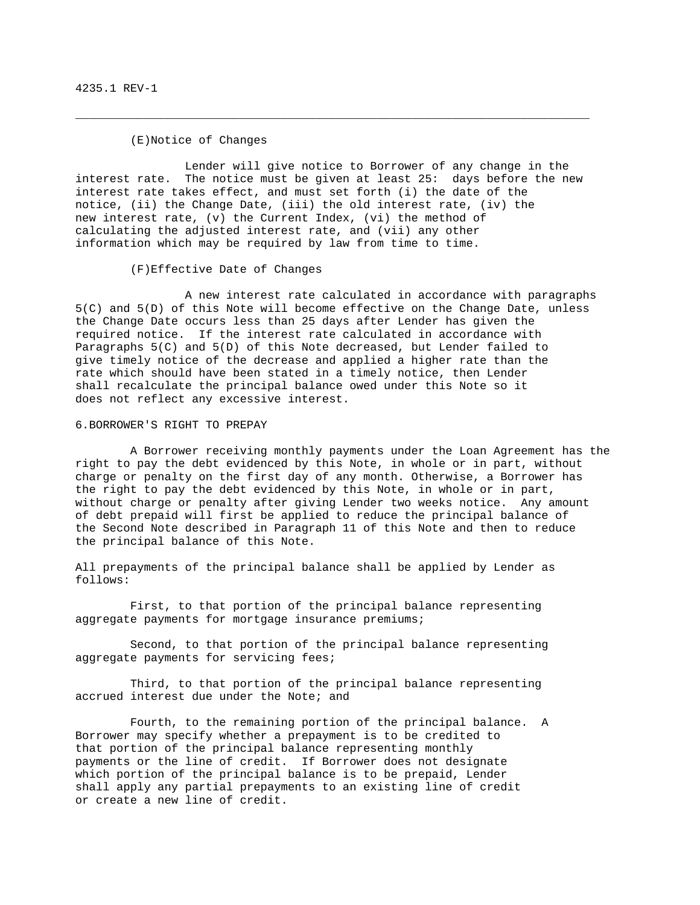## (E)Notice of Changes

Lender will give notice to Borrower of any change in the<br>interest rate. The notice must be given at least 25: days before the no The notice must be given at least  $25:$  days before the new interest rate takes effect, and must set forth (i) the date of the notice, (ii) the Change Date, (iii) the old interest rate, (iv) the new interest rate, (v) the Current Index, (vi) the method of calculating the adjusted interest rate, and (vii) any other information which may be required by law from time to time.

\_\_\_\_\_\_\_\_\_\_\_\_\_\_\_\_\_\_\_\_\_\_\_\_\_\_\_\_\_\_\_\_\_\_\_\_\_\_\_\_\_\_\_\_\_\_\_\_\_\_\_\_\_\_\_\_\_\_\_\_\_\_\_\_\_\_\_\_\_\_\_\_\_\_\_

(F)Effective Date of Changes

 A new interest rate calculated in accordance with paragraphs 5(C) and 5(D) of this Note will become effective on the Change Date, unless the Change Date occurs less than 25 days after Lender has given the required notice. If the interest rate calculated in accordance with Paragraphs 5(C) and 5(D) of this Note decreased, but Lender failed to give timely notice of the decrease and applied a higher rate than the rate which should have been stated in a timely notice, then Lender shall recalculate the principal balance owed under this Note so it does not reflect any excessive interest.

6.BORROWER'S RIGHT TO PREPAY

 A Borrower receiving monthly payments under the Loan Agreement has the right to pay the debt evidenced by this Note, in whole or in part, without charge or penalty on the first day of any month. Otherwise, a Borrower has the right to pay the debt evidenced by this Note, in whole or in part, without charge or penalty after giving Lender two weeks notice. Any amount of debt prepaid will first be applied to reduce the principal balance of the Second Note described in Paragraph 11 of this Note and then to reduce the principal balance of this Note.

All prepayments of the principal balance shall be applied by Lender as follows:

 First, to that portion of the principal balance representing aggregate payments for mortgage insurance premiums;

 Second, to that portion of the principal balance representing aggregate payments for servicing fees;

 Third, to that portion of the principal balance representing accrued interest due under the Note; and

 Fourth, to the remaining portion of the principal balance. A Borrower may specify whether a prepayment is to be credited to that portion of the principal balance representing monthly payments or the line of credit. If Borrower does not designate which portion of the principal balance is to be prepaid, Lender shall apply any partial prepayments to an existing line of credit or create a new line of credit.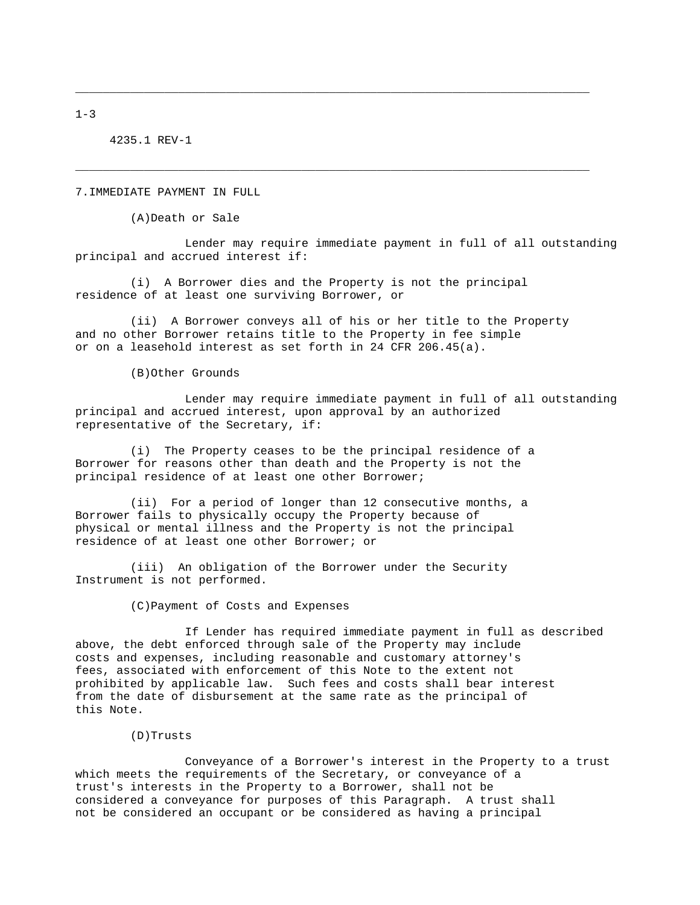4235.1 REV-1

7.IMMEDIATE PAYMENT IN FULL

(A)Death or Sale

 Lender may require immediate payment in full of all outstanding principal and accrued interest if:

\_\_\_\_\_\_\_\_\_\_\_\_\_\_\_\_\_\_\_\_\_\_\_\_\_\_\_\_\_\_\_\_\_\_\_\_\_\_\_\_\_\_\_\_\_\_\_\_\_\_\_\_\_\_\_\_\_\_\_\_\_\_\_\_\_\_\_\_\_\_\_\_\_\_\_

\_\_\_\_\_\_\_\_\_\_\_\_\_\_\_\_\_\_\_\_\_\_\_\_\_\_\_\_\_\_\_\_\_\_\_\_\_\_\_\_\_\_\_\_\_\_\_\_\_\_\_\_\_\_\_\_\_\_\_\_\_\_\_\_\_\_\_\_\_\_\_\_\_\_\_

 (i) A Borrower dies and the Property is not the principal residence of at least one surviving Borrower, or

 (ii) A Borrower conveys all of his or her title to the Property and no other Borrower retains title to the Property in fee simple or on a leasehold interest as set forth in 24 CFR 206.45(a).

(B)Other Grounds

 Lender may require immediate payment in full of all outstanding principal and accrued interest, upon approval by an authorized representative of the Secretary, if:

 (i) The Property ceases to be the principal residence of a Borrower for reasons other than death and the Property is not the principal residence of at least one other Borrower;

 (ii) For a period of longer than 12 consecutive months, a Borrower fails to physically occupy the Property because of physical or mental illness and the Property is not the principal residence of at least one other Borrower; or

 (iii) An obligation of the Borrower under the Security Instrument is not performed.

(C)Payment of Costs and Expenses

 If Lender has required immediate payment in full as described above, the debt enforced through sale of the Property may include costs and expenses, including reasonable and customary attorney's fees, associated with enforcement of this Note to the extent not prohibited by applicable law. Such fees and costs shall bear interest from the date of disbursement at the same rate as the principal of this Note.

(D)Trusts

 Conveyance of a Borrower's interest in the Property to a trust which meets the requirements of the Secretary, or conveyance of a trust's interests in the Property to a Borrower, shall not be considered a conveyance for purposes of this Paragraph. A trust shall not be considered an occupant or be considered as having a principal

 $1 - 3$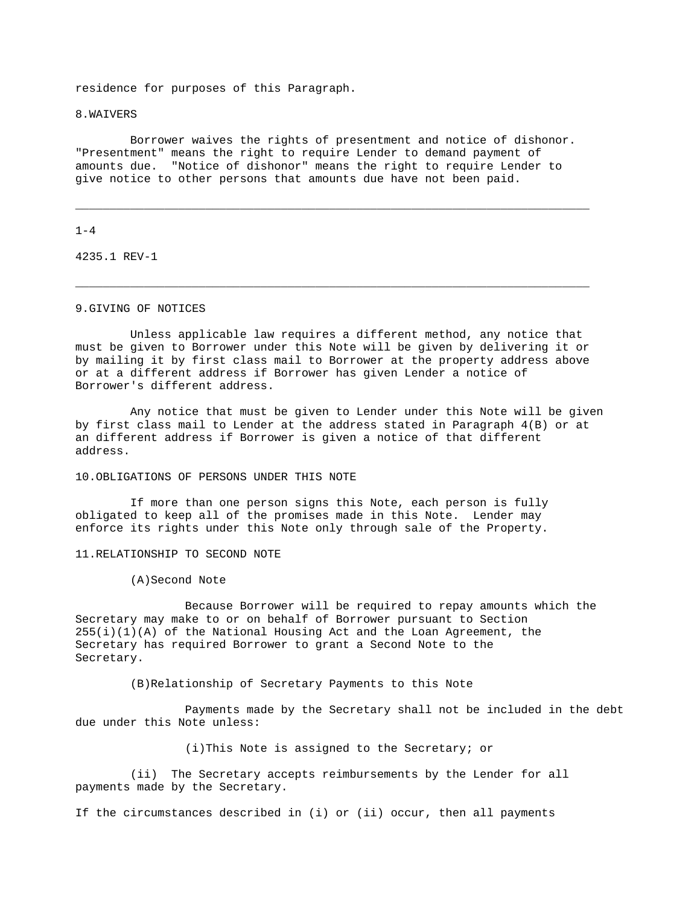residence for purposes of this Paragraph.

8.WAIVERS

 Borrower waives the rights of presentment and notice of dishonor. "Presentment" means the right to require Lender to demand payment of amounts due. "Notice of dishonor" means the right to require Lender to give notice to other persons that amounts due have not been paid.

\_\_\_\_\_\_\_\_\_\_\_\_\_\_\_\_\_\_\_\_\_\_\_\_\_\_\_\_\_\_\_\_\_\_\_\_\_\_\_\_\_\_\_\_\_\_\_\_\_\_\_\_\_\_\_\_\_\_\_\_\_\_\_\_\_\_\_\_\_\_\_\_\_\_\_

\_\_\_\_\_\_\_\_\_\_\_\_\_\_\_\_\_\_\_\_\_\_\_\_\_\_\_\_\_\_\_\_\_\_\_\_\_\_\_\_\_\_\_\_\_\_\_\_\_\_\_\_\_\_\_\_\_\_\_\_\_\_\_\_\_\_\_\_\_\_\_\_\_\_\_

#### $1 - 4$

4235.1 REV-1

# 9.GIVING OF NOTICES

 Unless applicable law requires a different method, any notice that must be given to Borrower under this Note will be given by delivering it or by mailing it by first class mail to Borrower at the property address above or at a different address if Borrower has given Lender a notice of Borrower's different address.

 Any notice that must be given to Lender under this Note will be given by first class mail to Lender at the address stated in Paragraph 4(B) or at an different address if Borrower is given a notice of that different address.

10.OBLIGATIONS OF PERSONS UNDER THIS NOTE

 If more than one person signs this Note, each person is fully obligated to keep all of the promises made in this Note. Lender may enforce its rights under this Note only through sale of the Property.

11.RELATIONSHIP TO SECOND NOTE

(A)Second Note

 Because Borrower will be required to repay amounts which the Secretary may make to or on behalf of Borrower pursuant to Section  $255(i)(1)(A)$  of the National Housing Act and the Loan Agreement, the Secretary has required Borrower to grant a Second Note to the Secretary.

(B)Relationship of Secretary Payments to this Note

 Payments made by the Secretary shall not be included in the debt due under this Note unless:

(i)This Note is assigned to the Secretary; or

 (ii) The Secretary accepts reimbursements by the Lender for all payments made by the Secretary.

If the circumstances described in (i) or (ii) occur, then all payments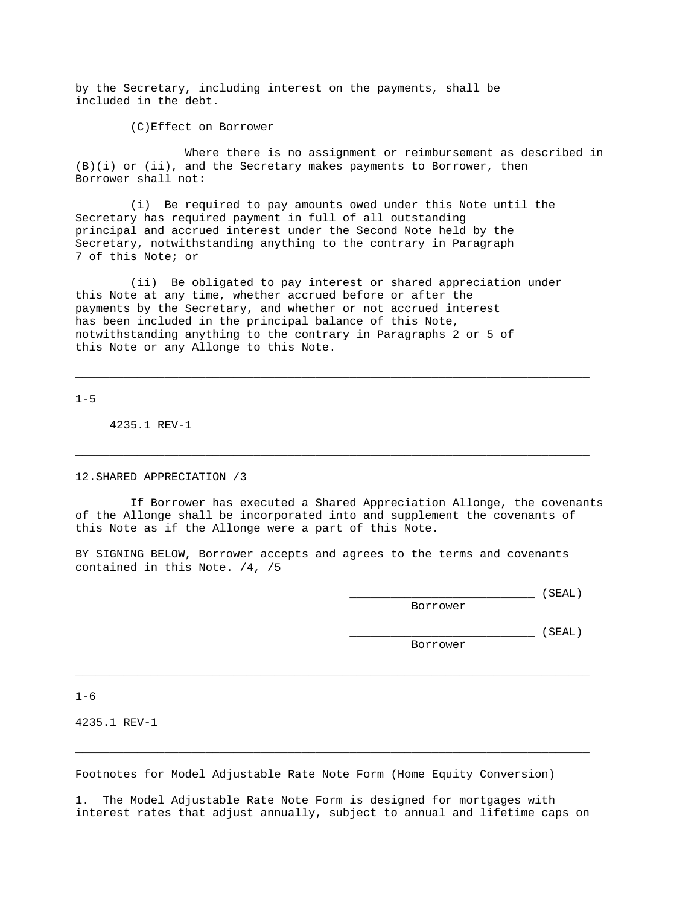by the Secretary, including interest on the payments, shall be included in the debt.

(C)Effect on Borrower

 Where there is no assignment or reimbursement as described in  $(B)(i)$  or  $(ii)$ , and the Secretary makes payments to Borrower, then Borrower shall not:

 (i) Be required to pay amounts owed under this Note until the Secretary has required payment in full of all outstanding principal and accrued interest under the Second Note held by the Secretary, notwithstanding anything to the contrary in Paragraph 7 of this Note; or

 (ii) Be obligated to pay interest or shared appreciation under this Note at any time, whether accrued before or after the payments by the Secretary, and whether or not accrued interest has been included in the principal balance of this Note, notwithstanding anything to the contrary in Paragraphs 2 or 5 of this Note or any Allonge to this Note.

\_\_\_\_\_\_\_\_\_\_\_\_\_\_\_\_\_\_\_\_\_\_\_\_\_\_\_\_\_\_\_\_\_\_\_\_\_\_\_\_\_\_\_\_\_\_\_\_\_\_\_\_\_\_\_\_\_\_\_\_\_\_\_\_\_\_\_\_\_\_\_\_\_\_\_

\_\_\_\_\_\_\_\_\_\_\_\_\_\_\_\_\_\_\_\_\_\_\_\_\_\_\_\_\_\_\_\_\_\_\_\_\_\_\_\_\_\_\_\_\_\_\_\_\_\_\_\_\_\_\_\_\_\_\_\_\_\_\_\_\_\_\_\_\_\_\_\_\_\_\_

 $1 - 5$ 

4235.1 REV-1

12.SHARED APPRECIATION /3

 If Borrower has executed a Shared Appreciation Allonge, the covenants of the Allonge shall be incorporated into and supplement the covenants of this Note as if the Allonge were a part of this Note.

BY SIGNING BELOW, Borrower accepts and agrees to the terms and covenants contained in this Note. /4, /5

 $(SEAL)$ 

Borrower

\_\_\_\_\_\_\_\_\_\_\_\_\_\_\_\_\_\_\_\_\_\_\_\_\_\_\_ (SEAL)

Borrower

 $1 - 6$ 

4235.1 REV-1

Footnotes for Model Adjustable Rate Note Form (Home Equity Conversion)

1. The Model Adjustable Rate Note Form is designed for mortgages with interest rates that adjust annually, subject to annual and lifetime caps on

\_\_\_\_\_\_\_\_\_\_\_\_\_\_\_\_\_\_\_\_\_\_\_\_\_\_\_\_\_\_\_\_\_\_\_\_\_\_\_\_\_\_\_\_\_\_\_\_\_\_\_\_\_\_\_\_\_\_\_\_\_\_\_\_\_\_\_\_\_\_\_\_\_\_\_

\_\_\_\_\_\_\_\_\_\_\_\_\_\_\_\_\_\_\_\_\_\_\_\_\_\_\_\_\_\_\_\_\_\_\_\_\_\_\_\_\_\_\_\_\_\_\_\_\_\_\_\_\_\_\_\_\_\_\_\_\_\_\_\_\_\_\_\_\_\_\_\_\_\_\_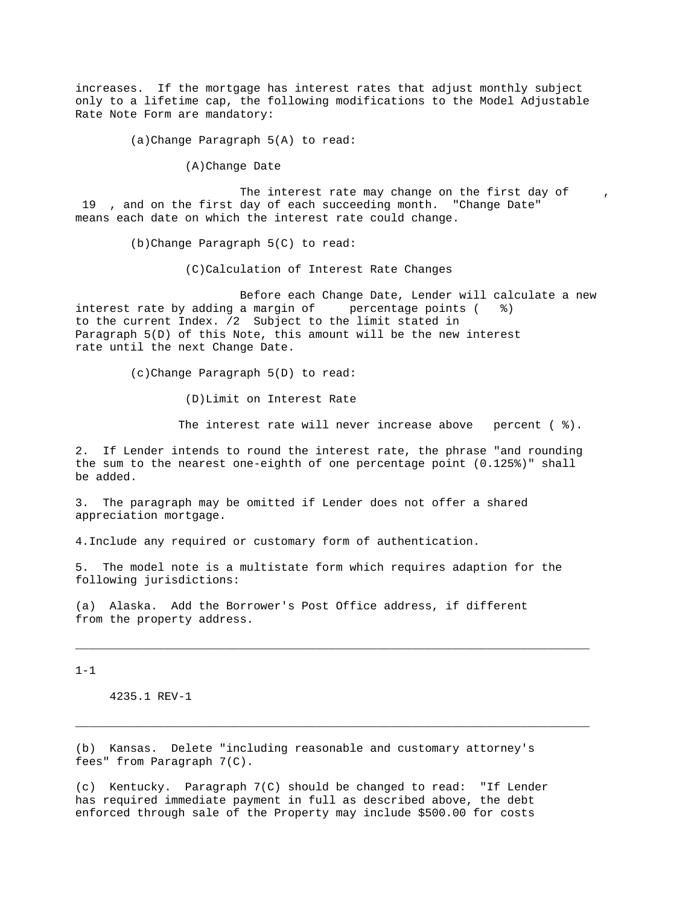increases. If the mortgage has interest rates that adjust monthly subject only to a lifetime cap, the following modifications to the Model Adjustable Rate Note Form are mandatory:

(a)Change Paragraph 5(A) to read:

(A)Change Date

The interest rate may change on the first day of 19 , and on the first day of each succeeding month. "Change Date" means each date on which the interest rate could change.

(b)Change Paragraph 5(C) to read:

(C)Calculation of Interest Rate Changes

 Before each Change Date, Lender will calculate a new interest rate by adding a margin of  $p$  percentage points ( $\frac{1}{2}$ ) to the current Index. /2 Subject to the limit stated in Paragraph 5(D) of this Note, this amount will be the new interest rate until the next Change Date.

(c)Change Paragraph 5(D) to read:

(D)Limit on Interest Rate

The interest rate will never increase above percent ( %).

2. If Lender intends to round the interest rate, the phrase "and rounding the sum to the nearest one-eighth of one percentage point (0.125%)" shall be added.

3. The paragraph may be omitted if Lender does not offer a shared appreciation mortgage.

4.Include any required or customary form of authentication.

5. The model note is a multistate form which requires adaption for the following jurisdictions:

\_\_\_\_\_\_\_\_\_\_\_\_\_\_\_\_\_\_\_\_\_\_\_\_\_\_\_\_\_\_\_\_\_\_\_\_\_\_\_\_\_\_\_\_\_\_\_\_\_\_\_\_\_\_\_\_\_\_\_\_\_\_\_\_\_\_\_\_\_\_\_\_\_\_\_

\_\_\_\_\_\_\_\_\_\_\_\_\_\_\_\_\_\_\_\_\_\_\_\_\_\_\_\_\_\_\_\_\_\_\_\_\_\_\_\_\_\_\_\_\_\_\_\_\_\_\_\_\_\_\_\_\_\_\_\_\_\_\_\_\_\_\_\_\_\_\_\_\_\_\_

(a) Alaska. Add the Borrower's Post Office address, if different from the property address.

 $1 - 1$ 

4235.1 REV-1

(b) Kansas. Delete "including reasonable and customary attorney's fees" from Paragraph 7(C).

(c) Kentucky. Paragraph 7(C) should be changed to read: "If Lender has required immediate payment in full as described above, the debt enforced through sale of the Property may include \$500.00 for costs